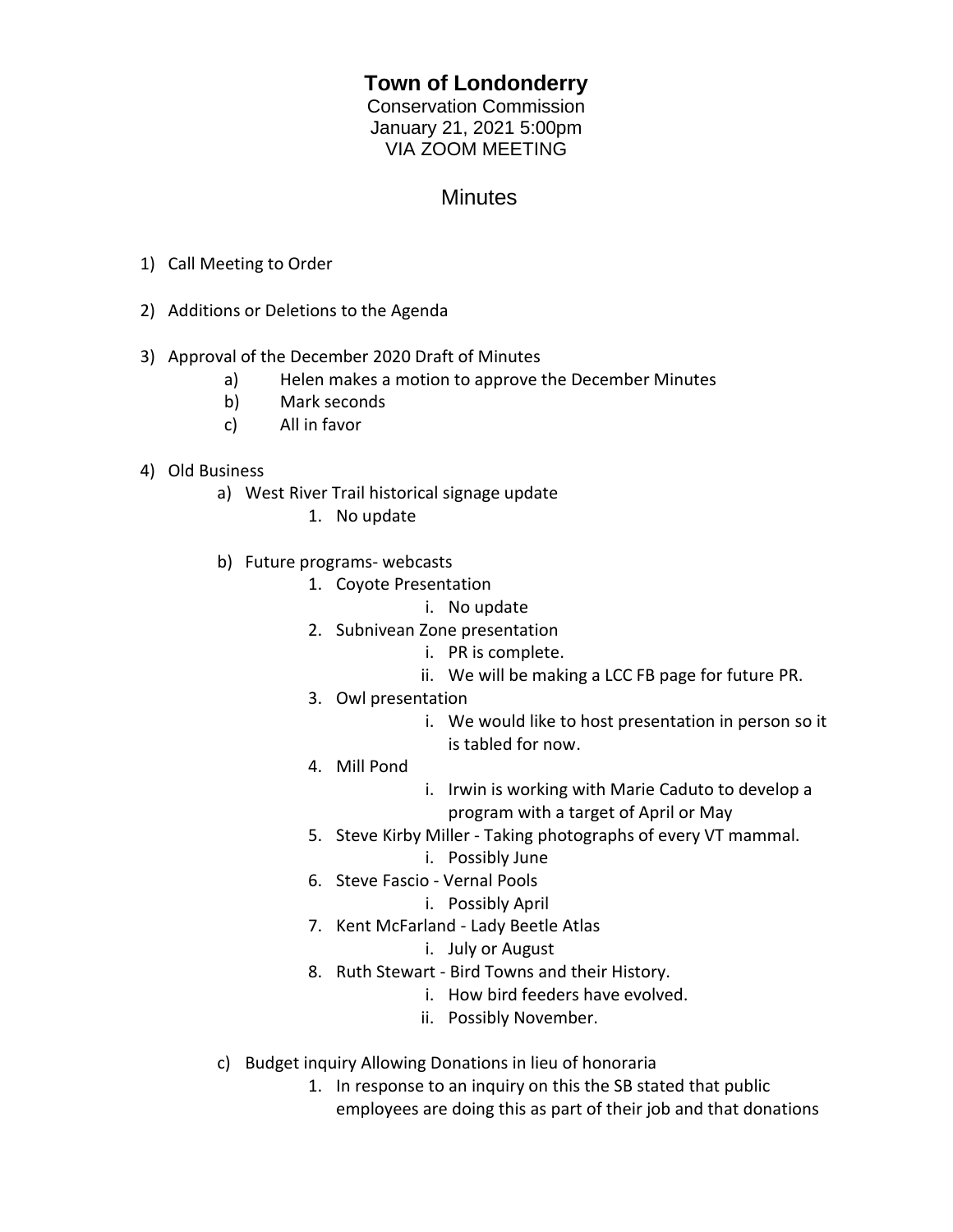## **Town of Londonderry**

Conservation Commission January 21, 2021 5:00pm VIA ZOOM MEETING

## **Minutes**

- 1) Call Meeting to Order
- 2) Additions or Deletions to the Agenda

## 3) Approval of the December 2020 Draft of Minutes

- a) Helen makes a motion to approve the December Minutes
- b) Mark seconds
- c) All in favor

## 4) Old Business

- a) West River Trail historical signage update
	- 1. No update
- b) Future programs- webcasts
	- 1. Coyote Presentation
		- i. No update
	- 2. Subnivean Zone presentation
		- i. PR is complete.
		- ii. We will be making a LCC FB page for future PR.
	- 3. Owl presentation
		- i. We would like to host presentation in person so it is tabled for now.
	- 4. Mill Pond
- i. Irwin is working with Marie Caduto to develop a program with a target of April or May
- 5. Steve Kirby Miller Taking photographs of every VT mammal.
	- i. Possibly June
- 6. Steve Fascio Vernal Pools
	- i. Possibly April
- 7. Kent McFarland Lady Beetle Atlas
	- i. July or August
- 8. Ruth Stewart Bird Towns and their History.
	- i. How bird feeders have evolved.
		- ii. Possibly November.
- c) Budget inquiry Allowing Donations in lieu of honoraria
	- 1. In response to an inquiry on this the SB stated that public employees are doing this as part of their job and that donations